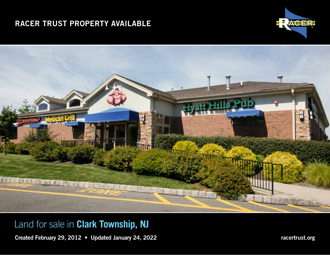# RACER TRUST PROPERTY AVAILABLE IN CONTROL TOWNSHIPS, IN CLARK IN CLARK IN CLARK IN CLARK IN CLARK IN CLARK IN CLARK IN CLARK IN CLARK IN CLARK IN CLARK IN CLARK IN CLARK IN CLARK IN CLARK IN CLARK IN CLARK IN CLARK IN CLAR





# Land for sale in **Clark Township, NJ**

Created February 29, 2012 • Updated January 24, 2022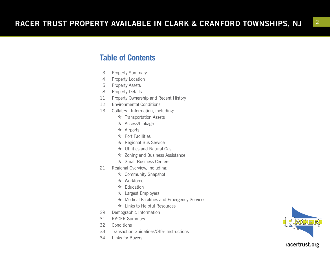### **Table of Contents**

- <sup>3</sup> Property Summary 4 Property Location
- 
- 5 Property Assets
- 8 Property Details
- 11 Property Ownership and Recent History
- 12 Environmental Conditions
- 13 Collateral Information, including:
	- $\star$  Transportation Assets
	- \* Access/Linkage
	- $\star$  Airports
	- $\star$  Port Facilities
	- \* Regional Bus Service
	- $\star$  Utilities and Natural Gas
	- \* Zoning and Business Assistance
	- \* Small Business Centers
- 21 Regional Overview, including:
	- \* Community Snapshot
	- \* Workforce
	- $\star$  Education
	- \* Largest Employers
	- \* Medical Facilities and Emergency Services
	- \* Links to Helpful Resources
- 29 Demographic Information
- 31 RACER Summary
- 32 Conditions
- 33 Transaction Guidelines/Offer Instructions
- 34 Links for Buyers



2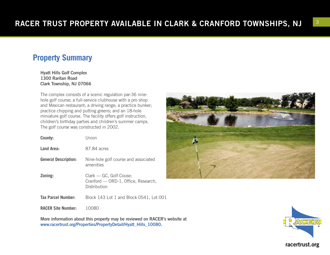# **Property Summary**

Hyatt Hills Golf Complex 1300 Raritan Road Clark Township, NJ 07066

The complex consists of a scenic regulation par-36 ninehole golf course; a full-service clubhouse with a pro shop and Mexican restaurant; a driving range; a practice bunker; practice chipping and putting greens; and an 18-hole miniature golf course. The facility offers golf instruction, children's birthday parties and children's summer camps. The golf course was constructed in 2002.

| County:                     | Union                                                                          |
|-----------------------------|--------------------------------------------------------------------------------|
| <b>Land Area:</b>           | 87.84 acres                                                                    |
| <b>General Description:</b> | Nine-hole golf course and associated<br>amenities                              |
| Zoning:                     | Clark - GC, Golf Couse;<br>Cranford — ORD-1, Office, Research,<br>Distribution |
| <b>Tax Parcel Number:</b>   | Block 143 Lot 1 and Block 0541, Lot 001                                        |
| <b>RACER Site Number:</b>   | 10080                                                                          |

More information about this property may be reviewed on RACER's website at www.racertrust.org/Properties/PropertyDetail/Hyatt\_Hills\_10080.



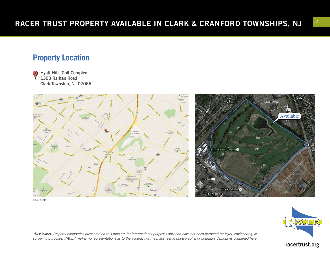#### **Property Location**

Hyatt Hills Golf Complex (A) 1300 Raritan Road Clark Township, NJ 07066



©2017 Google



*\*Disclaimer: Property boundaries presented on this map are for informational purposes only and have not been prepared for legal, engineering, or surveying purposes. RACER makes no representations as to the accuracy of the maps, aerial photographs, or boundary depictions contained herein.*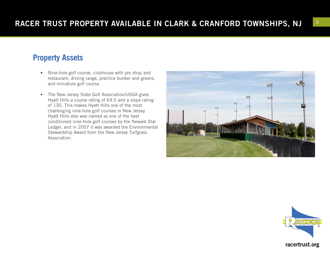# **Property Assets**

- Nine-hole golf course, clubhouse with pro shop and restaurant, driving range, practice bunker and greens, and miniature golf course.
- The New Jersey State Golf Association/USGA gives Hyatt Hills a course rating of 69.5 and a slope rating of 130. This makes Hyatt Hills one of the most challenging nine-hole golf courses in New Jersey. Hyatt Hills also was named as one of the best conditioned nine-hole golf courses by the Newark Star Ledger, and in 2007 it was awarded the Environmental Stewardship Award from the New Jersey Turfgrass Association.



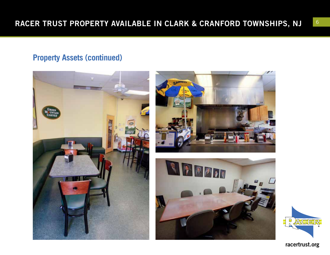#### **Property Assets (continued)**







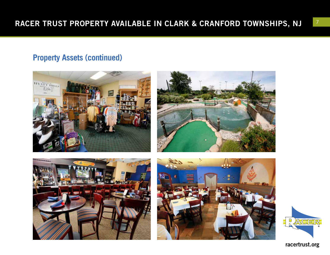#### **Property Assets (continued)**









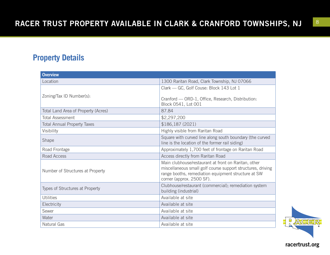### **Property Details**

| <b>Overview</b>                     |                                                                                                                                                                                                         |  |  |  |
|-------------------------------------|---------------------------------------------------------------------------------------------------------------------------------------------------------------------------------------------------------|--|--|--|
| Location                            | 1300 Raritan Road, Clark Township, NJ 07066                                                                                                                                                             |  |  |  |
|                                     | Clark - GC, Golf Couse: Block 143 Lot 1                                                                                                                                                                 |  |  |  |
| Zoning/Tax ID Number(s):            | Cranford - ORD-1, Office, Research, Distribution:<br>Block 0541, Lot 001                                                                                                                                |  |  |  |
| Total Land Area of Property (Acres) | 87.84                                                                                                                                                                                                   |  |  |  |
| <b>Total Assessment</b>             | \$2,297,200                                                                                                                                                                                             |  |  |  |
| <b>Total Annual Property Taxes</b>  | \$186,187 (2021)                                                                                                                                                                                        |  |  |  |
| Visibility                          | Highly visible from Raritan Road                                                                                                                                                                        |  |  |  |
| Shape                               | Square with curved line along south boundary (the curved<br>line is the location of the former rail siding)                                                                                             |  |  |  |
| Road Frontage                       | Approximately 1,700 feet of frontage on Raritan Road                                                                                                                                                    |  |  |  |
| Road Access                         | Access directly from Raritan Road                                                                                                                                                                       |  |  |  |
| Number of Structures at Property    | Main clubhouse/restaurant at front on Raritan, other<br>miscellaneous small golf course support structures, driving<br>range booths, remediation equipment structure at SW<br>corner (approx. 2500 SF). |  |  |  |
| Types of Structures at Property     | Clubhouse/restaurant (commercial); remediation system<br>building (industrial)                                                                                                                          |  |  |  |
| <b>Utilities</b>                    | Available at site                                                                                                                                                                                       |  |  |  |
| Electricity                         | Available at site                                                                                                                                                                                       |  |  |  |
| Sewer                               | Available at site                                                                                                                                                                                       |  |  |  |
| Water                               | Available at site                                                                                                                                                                                       |  |  |  |
| <b>Natural Gas</b>                  | Available at site                                                                                                                                                                                       |  |  |  |

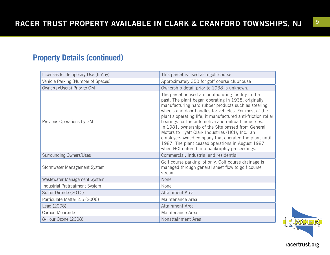#### **Property Details (continued)**

| Licenses for Temporary Use (If Any) | This parcel is used as a golf course                                                                                                                                                                                                                                                                                                                                                                                                                                                                                                                                                                                    |
|-------------------------------------|-------------------------------------------------------------------------------------------------------------------------------------------------------------------------------------------------------------------------------------------------------------------------------------------------------------------------------------------------------------------------------------------------------------------------------------------------------------------------------------------------------------------------------------------------------------------------------------------------------------------------|
| Vehicle Parking (Number of Spaces)  | Approximately 350 for golf course clubhouse                                                                                                                                                                                                                                                                                                                                                                                                                                                                                                                                                                             |
| Owner(s)/Use(s) Prior to GM         | Ownership detail prior to 1938 is unknown.                                                                                                                                                                                                                                                                                                                                                                                                                                                                                                                                                                              |
| Previous Operations by GM           | The parcel housed a manufacturing facility in the<br>past. The plant began operating in 1938, originally<br>manufacturing hard rubber products such as steering<br>wheels and door handles for vehicles. For most of the<br>plant's operating life, it manufactured anti-friction roller<br>bearings for the automotive and railroad industries.<br>In 1981, ownership of the Site passed from General<br>Motors to Hyatt Clark Industries (HCI), Inc., an<br>employee-owned company that operated the plant until<br>1987. The plant ceased operations in August 1987<br>when HCI entered into bankruptcy proceedings. |
| <b>Surrounding Owners/Uses</b>      | Commercial, industrial and residential                                                                                                                                                                                                                                                                                                                                                                                                                                                                                                                                                                                  |
| Stormwater Management System        | Golf course parking lot only. Golf course drainage is<br>managed through general sheet flow to golf course<br>stream.                                                                                                                                                                                                                                                                                                                                                                                                                                                                                                   |
| Wastewater Management System        | None                                                                                                                                                                                                                                                                                                                                                                                                                                                                                                                                                                                                                    |
| Industrial Pretreatment System      | None                                                                                                                                                                                                                                                                                                                                                                                                                                                                                                                                                                                                                    |
| Sulfur Dioxide (2010)               | Attainment Area                                                                                                                                                                                                                                                                                                                                                                                                                                                                                                                                                                                                         |
| Particulate Matter 2.5 (2006)       | Maintenance Area                                                                                                                                                                                                                                                                                                                                                                                                                                                                                                                                                                                                        |
| Lead (2008)                         | Attainment Area                                                                                                                                                                                                                                                                                                                                                                                                                                                                                                                                                                                                         |
| Carbon Monoxide                     | Maintenance Area                                                                                                                                                                                                                                                                                                                                                                                                                                                                                                                                                                                                        |
| 8-Hour Ozone (2008)                 | Nonattainment Area                                                                                                                                                                                                                                                                                                                                                                                                                                                                                                                                                                                                      |

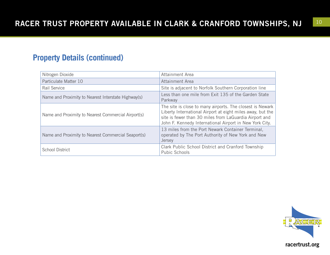#### **Property Details (continued)**

| Nitrogen Dioxide                                    | Attainment Area                                                                                                                                                                                                                              |
|-----------------------------------------------------|----------------------------------------------------------------------------------------------------------------------------------------------------------------------------------------------------------------------------------------------|
| Particulate Matter 10                               | Attainment Area                                                                                                                                                                                                                              |
| Rail Service                                        | Site is adjacent to Norfolk Southern Corporation line                                                                                                                                                                                        |
| Name and Proximity to Nearest Interstate Highway(s) | Less than one mile from Exit 135 of the Garden State<br>Parkway                                                                                                                                                                              |
| Name and Proximity to Nearest Commercial Airport(s) | The site is close to many airports. The closest is Newark<br>Liberty International Airport at eight miles away, but the<br>site is fewer than 30 miles from LaGuardia Airport and<br>John F. Kennedy International Airport in New York City. |
| Name and Proximity to Nearest Commercial Seaport(s) | 13 miles from the Port Newark Container Terminal,<br>operated by The Port Authority of New York and New<br>Jersey                                                                                                                            |
| <b>School District</b>                              | Clark Public School District and Cranford Township<br>Pubic Schools                                                                                                                                                                          |

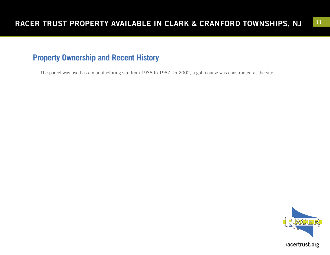# **Property Ownership and Recent History**

The parcel was used as a manufacturing site from 1938 to 1987. In 2002, a golf course was constructed at the site.

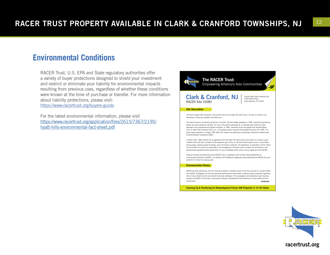#### **Environmental Conditions**

RACER Trust, U.S. EPA and State regulatory authorities offer a variety of buyer protections designed to shield your investment and restrict or eliminate your liability for environmental impacts resulting from previous uses, regardless of whether these conditions were known at the time of purchase or transfer. For more information about liability protections, please visit:

[https://www.racertrust.org/buyers-guide.](https://www.racertrust.org/buyers-guide)

For the latest environmental information, please visit [https://www.racertrust.org/application/files/2615/7367/2195/](https://www.racertrust.org/application/files/2615/7367/2195/hyatt-hills-environmental-fact-sheet.pdf) [hyatt-hills-environmental-fact-sheet.pdf](https://www.racertrust.org/application/files/2615/7367/2195/hyatt-hills-environmental-fact-sheet.pdf)



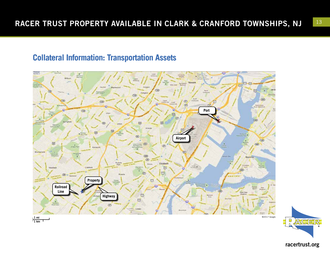#### **Collateral Information: Transportation Assets**



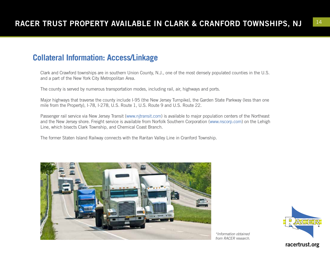### **Collateral Information: Access/Linkage**

Clark and Crawford townships are in southern Union County, N.J., one of the most densely populated counties in the U.S. and a part of the New York City Metropolitan Area.

The county is served by numerous transportation modes, including rail, air, highways and ports.

Major highways that traverse the county include I-95 (the New Jersey Turnpike), the Garden State Parkway (less than one mile from the Property), I-78, I-278, U.S. Route 1, U.S. Route 9 and U.S. Route 22.

Passenger rail service via New Jersey Transit (www.njtransit.com) is available to major population centers of the Northeast and the New Jersey shore. Freight service is available from Norfolk Southern Corporation (www.nscorp.com) on the Lehigh Line, which bisects Clark Township, and Chemical Coast Branch.

The former Staten Island Railway connects with the Raritan Valley Line in Cranford Township.



*\*Information obtained from RACER research.*

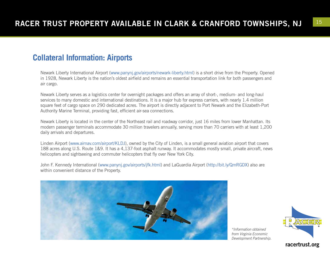#### **Collateral Information: Airports**

Newark Liberty International Airport (www.panynj.gov/airports/newark-liberty.html) is a short drive from the Property. Opened in 1928, Newark Liberty is the nation's oldest airfield and remains an essential transportation link for both passengers and air cargo.

Newark Liberty serves as a logistics center for overnight packages and offers an array of short-, medium- and long-haul services to many domestic and international destinations. It is a major hub for express carriers, with nearly 1.4 million square feet of cargo space on 290 dedicated acres. The airport is directly adjacent to Port Newark and the Elizabeth-Port Authority Marine Terminal, providing fast, efficient air-sea connections.

Newark Liberty is located in the center of the Northeast rail and roadway corridor, just 16 miles from lower Manhattan. Its modern passenger terminals accommodate 30 million travelers annually, serving more than 70 carriers with at least 1,200 daily arrivals and departures.

Linden Airport (www.airnav.com/airport/KLDJ), owned by the City of Linden, is a small general aviation airport that covers 188 acres along U.S. Route 1&9. It has a 4,137-foot asphalt runway. It accommodates mostly small, private aircraft, news helicopters and sightseeing and commuter helicopters that fly over New York City.

John F. Kennedy International (www.panynj.gov/airports/jfk.html) and LaGuardia Airport (http://bit.ly/QmRGDX) also are within convenient distance of the Property.



*\*Information obtained from Virginia Economic Development Partnership.*

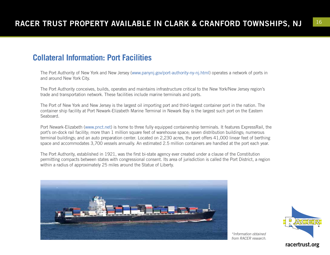#### **Collateral Information: Port Facilities**

The Port Authority of New York and New Jersey (www.panynj.gov/port-authority-ny-nj.html) operates a network of ports in and around New York City.

The Port Authority conceives, builds, operates and maintains infrastructure critical to the New York/New Jersey region's trade and transportation network. These facilities include marine terminals and ports.

The Port of New York and New Jersey is the largest oil importing port and third-largest container port in the nation. The container ship facility at Port Newark-Elizabeth Marine Terminal in Newark Bay is the largest such port on the Eastern Seaboard.

Port Newark-Elizabeth (www.pnct.net) is home to three fully equipped containership terminals. It features ExpressRail, the port's on-dock rail facility; more than 1 million square feet of warehouse space; seven distribution buildings; numerous terminal buildings; and an auto preparation center. Located on 2,230 acres, the port offers 41,000 linear feet of berthing space and accommodates 3,700 vessels annually. An estimated 2.5 million containers are handled at the port each year.

The Port Authority, established in 1921, was the first bi-state agency ever created under a clause of the Constitution permitting compacts between states with congressional consent. Its area of jurisdiction is called the Port District, a region within a radius of approximately 25 miles around the Statue of Liberty.





*\*Information obtained from RACER research.*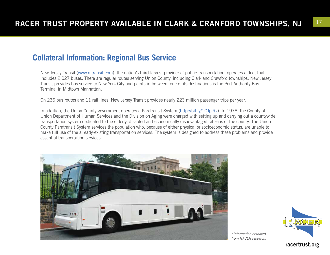#### **Collateral Information: Regional Bus Service**

New Jersey Transit (www.njtransit.com), the nation's third-largest provider of public transportation, operates a fleet that includes 2,027 buses. There are regular routes serving Union County, including Clark and Crawford townships. New Jersey Transit provides bus service to New York City and points in between; one of its destinations is the Port Authority Bus Terminal in Midtown Manhattan.

On 236 bus routes and 11 rail lines, New Jersey Transit provides nearly 223 million passenger trips per year.

In addition, the Union County government operates a Paratransit System (http://bit.ly/1CJplRz). In 1978, the County of Union Department of Human Services and the Division on Aging were charged with setting up and carrying out a countywide transportation system dedicated to the elderly, disabled and economically disadvantaged citizens of the county. The Union County Paratransit System services the population who, because of either physical or socioeconomic status, are unable to make full use of the already-existing transportation services. The system is designed to address these problems and provide essential transportation services.



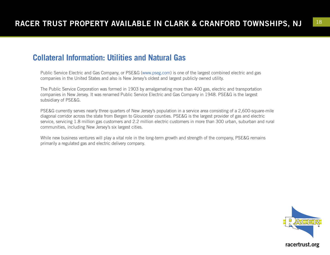#### **Collateral Information: Utilities and Natural Gas**

Public Service Electric and Gas Company, or PSE&G (www.pseg.com) is one of the largest combined electric and gas companies in the United States and also is New Jersey's oldest and largest publicly owned utility.

The Public Service Corporation was formed in 1903 by amalgamating more than 400 gas, electric and transportation companies in New Jersey. It was renamed Public Service Electric and Gas Company in 1948. PSE&G is the largest subsidiary of PSE&G.

PSE&G currently serves nearly three quarters of New Jersey's population in a service area consisting of a 2,600-square-mile diagonal corridor across the state from Bergen to Gloucester counties. PSE&G is the largest provider of gas and electric service, servicing 1.8 million gas customers and 2.2 million electric customers in more than 300 urban, suburban and rural communities, including New Jersey's six largest cities.

While new business ventures will play a vital role in the long-term growth and strength of the company, PSE&G remains primarily a regulated gas and electric delivery company.

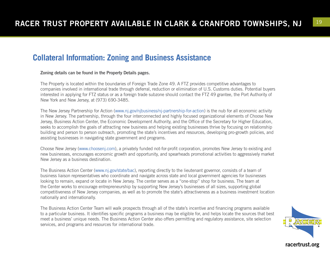#### **Collateral Information: Zoning and Business Assistance**

#### Zoning details can be found in the Property Details pages.

The Property is located within the boundaries of Foreign Trade Zone 49. A FTZ provides competitive advantages to companies involved in international trade through deferral, reduction or elimination of U.S. Customs duties. Potential buyers interested in applying for FTZ status or as a foreign trade subzone should contact the FTZ 49 grantee, the Port Authority of New York and New Jersey, at (973) 690-3485.

The New Jersey Partnership for Action (www.nj.gov/njbusiness/nj-partnership-for-action) is the nub for all economic activity in New Jersey. The partnership, through the four interconnected and highly focused organizational elements of Choose New Jersey, Business Action Center, the Economic Development Authority, and the Office of the Secretary for Higher Education, seeks to accomplish the goals of attracting new business and helping existing businesses thrive by focusing on relationship building and person to person outreach, promoting the state's incentives and resources, developing pro-growth policies, and assisting businesses in navigating state government and programs.

Choose New Jersey (www.choosenj.com), a privately funded not-for-profit corporation, promotes New Jersey to existing and new businesses, encourages economic growth and opportunity, and spearheads promotional activities to aggressively market New Jersey as a business destination.

The Business Action Center (www.nj.gov/state/bac), reporting directly to the lieutenant governor, consists of a team of business liaison representatives who coordinate and navigate across state and local government agencies for businesses looking to remain, expand or locate in New Jersey. The center serves as a "one-stop" shop for business. The team at the Center works to encourage entrepreneurship by supporting New Jersey's businesses of all sizes, supporting global competitiveness of New Jersey companies, as well as to promote the state's attractiveness as a business investment location nationally and internationally.

The Business Action Center Team will walk prospects through all of the state's incentive and financing programs available to a particular business. It identifies specific programs a business may be eligible for, and helps locate the sources that best meet a business' unique needs. The Business Action Center also offers permitting and regulatory assistance, site selection services, and programs and resources for international trade.

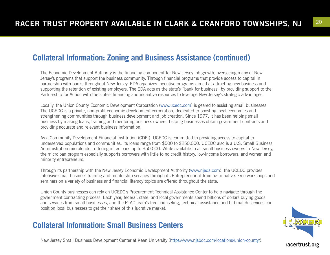#### **Collateral Information: Zoning and Business Assistance (continued)**

The Economic Development Authority is the financing component for New Jersey job growth, overseeing many of New Jersey's programs that support the business community. Through financial programs that provide access to capital in partnership with banks throughout New Jersey, EDA organizes incentive programs aimed at attracting new business and supporting the retention of existing employers. The EDA acts as the state's "bank for business" by providing support to the Partnership for Action with the state's financing and incentive resources to leverage New Jersey's strategic advantages.

Locally, the Union County Economic Development Corporation (www.ucedc.com) is geared to assisting small businesses. The UCEDC is a private, non-profit economic development corporation, dedicated to boosting local economies and strengthening communities through business development and job creation. Since 1977, it has been helping small business by making loans, training and mentoring business owners, helping businesses obtain government contracts and providing accurate and relevant business information.

As a Community Development Financial Institution (CDFI), UCEDC is committed to providing access to capital to underserved populations and communities. Its loans range from \$500 to \$250,000. UCEDC also is a U.S. Small Business Administration microlender, offering microloans up to \$50,000. While available to all small business owners in New Jersey, the microloan program especially supports borrowers with little to no credit history, low-income borrowers, and women and minority entrepreneurs.

Through its partnership with the New Jersey Economic Development Authority (www.njeda.com), the UCEDC provides intensive small business training and mentorship services through its Entrepreneurial Training Initiative. Free workshops and seminars on a variety of business and financial literacy topics are offered throughout the state.

Union County businesses can rely on UCEDC's Procurement Technical Assistance Center to help navigate through the government contracting process. Each year, federal, state, and local governments spend billions of dollars buying goods and services from small businesses, and the PTAC team's free counseling, technical assistance and bid match services can position local businesses to get their share of this lucrative market.

#### **Collateral Information: Small Business Centers**

New Jersey Small Business Development Center at Kean University (https://www.njsbdc.com/locations/union-county/).

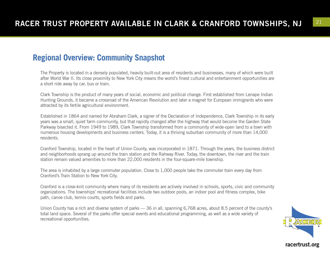#### **Regional Overview: Community Snapshot**

The Property is located in a densely populated, heavily built-out area of residents and businesses, many of which were built after World War II. Its close proximity to New York City means the world's finest cultural and entertainment opportunities are a short ride away by car, bus or train.

Clark Township is the product of many years of social, economic and political change. First established from Lenape Indian Hunting Grounds, it became a crossroad of the American Revolution and later a magnet for European immigrants who were attracted by its fertile agricultural environment.

Established in 1864 and named for Abraham Clark, a signer of the Declaration of Independence, Clark Township in its early years was a small, quiet farm community, but that rapidly changed after the highway that would become the Garden State Parkway bisected it. From 1949 to 1989, Clark Township transformed from a community of wide-open land to a town with numerous housing developments and business centers. Today, it is a thriving suburban community of more than 14,000 residents.

Cranford Township, located in the heart of Union County, was incorporated in 1871. Through the years, the business district and neighborhoods sprang up around the train station and the Rahway River. Today, the downtown, the river and the train station remain valued amenities to more than 22,000 residents in the four-square-mile township.

The area is inhabited by a large commuter population. Close to 1,000 people take the commuter train every day from Cranford's Train Station to New York City.

Cranford is a close-knit community where many of its residents are actively involved in schools, sports, civic and community organizations. The townships' recreational facilities include two outdoor pools, an indoor pool and fitness complex, bike path, canoe club, tennis courts, sports fields and parks.

Union County has a rich and diverse system of parks — 36 in all, spanning 6,768 acres, about 8.5 percent of the county's total land space. Several of the parks offer special events and educational programming, as well as a wide variety of recreational opportunities.

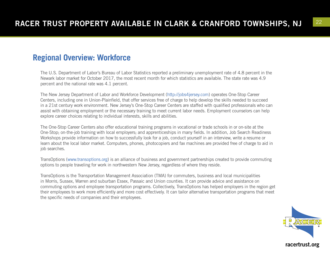#### **Regional Overview: Workforce**

The U.S. Department of Labor's Bureau of Labor Statistics reported a preliminary unemployment rate of 4.8 percent in the Newark labor market for October 2017, the most recent month for which statistics are available. The state rate was 4.9 percent and the national rate was 4.1 percent.

The New Jersey Department of Labor and Workforce Development (http://jobs4jersey.com) operates One-Stop Career Centers, including one in Union-Plainfield, that offer services free of charge to help develop the skills needed to succeed in a 21st century work environment. New Jersey's One-Stop Career Centers are staffed with qualified professionals who can assist with obtaining employment or the necessary training to meet current labor needs. Employment counselors can help explore career choices relating to individual interests, skills and abilities.

The One-Stop Career Centers also offer educational training programs in vocational or trade schools in or on-site at the One-Stop; on-the-job training with local employers; and apprenticeships in many fields. In addition, Job Search Readiness Workshops provide information on how to successfully look for a job, conduct yourself in an interview, write a resume or learn about the local labor market. Computers, phones, photocopiers and fax machines are provided free of charge to aid in job searches.

TransOptions (www.transoptions.org) is an alliance of business and government partnerships created to provide commuting options to people traveling for work in northwestern New Jersey, regardless of where they reside.

TransOptions is the Transportation Management Association (TMA) for commuters, business and local municipalities in Morris, Sussex, Warren and suburban Essex, Passaic and Union counties. It can provide advice and assistance on commuting options and employee transportation programs. Collectively, TransOptions has helped employers in the region get their employees to work more efficiently and more cost effectively. It can tailor alternative transportation programs that meet the specific needs of companies and their employees.

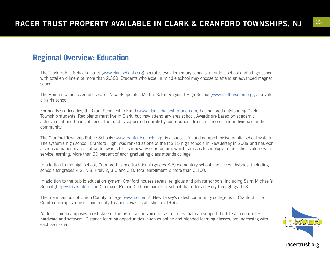#### **Regional Overview: Education**

The Clark Public School district (www.clarkschools.org) operates two elementary schools, a middle school and a high school, with total enrollment of more than 2,300. Students who excel in middle school may choose to attend an advanced magnet school.

The Roman Catholic Archdiocese of Newark operates Mother Seton Regional High School (www.motherseton.org), a private, all-girls school.

For nearly six decades, the Clark Scholarship Fund (www.clarkscholarshipfund.com) has honored outstanding Clark Township students. Recipients must live in Clark, but may attend any area school. Awards are based on academic achievement and financial need. The fund is supported entirely by contributions from businesses and individuals in the community

The Cranford Township Public Schools (www.cranfordschools.org) is a successful and comprehensive public school system. The system's high school, Cranford High, was ranked as one of the top 15 high schools in New Jersey in 2009 and has won a series of national and statewide awards for its innovative curriculum, which stresses technology in the schools along with service learning. More than 90 percent of each graduating class attends college.

In addition to the high school, Cranford has one traditional (grades K-5) elementary school and several hybrids, including schools for grades K-2, K-8, PreK-2, 3-5 and 3-8. Total enrollment is more than 3,100.

In addition to the public education system, Cranford houses several religious and private schools, including Saint Michael's School (http://smscranford.com), a major Roman Catholic parochial school that offers nursery through grade 8.

The main campus of Union County College (www.ucc.edu), New Jersey's oldest community college, is in Cranford. The Cranford campus, one of four county locations, was established in 1956.

All four Union campuses boast state-of-the-art data and voice infrastructures that can support the latest in computer hardware and software. Distance learning opportunities, such as online and blended learning classes, are increasing with each semester.

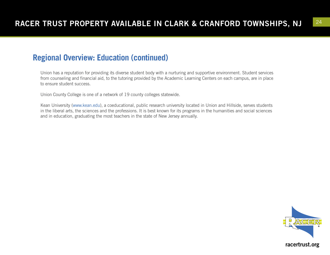#### **Regional Overview: Education (continued)**

Union has a reputation for providing its diverse student body with a nurturing and supportive environment. Student services from counseling and financial aid, to the tutoring provided by the Academic Learning Centers on each campus, are in place to ensure student success.

Union County College is one of a network of 19 county colleges statewide.

Kean University (www.kean.edu), a coeducational, public research university located in Union and Hillside, serves students in the liberal arts, the sciences and the professions. It is best known for its programs in the humanities and social sciences and in education, graduating the most teachers in the state of New Jersey annually.

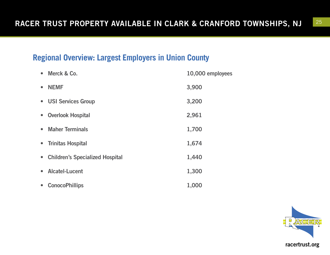# **Regional Overview: Largest Employers in Union County**

| • Merck & Co.                                       | 10,000 employees |
|-----------------------------------------------------|------------------|
| <b>NEMF</b><br>$\bullet$                            | 3,900            |
| • USI Services Group                                | 3,200            |
| <b>Overlook Hospital</b><br>$\bullet$               | 2,961            |
| <b>Maher Terminals</b><br>$\bullet$                 | 1,700            |
| • Trinitas Hospital                                 | 1,674            |
| <b>Children's Specialized Hospital</b><br>$\bullet$ | 1,440            |
| <b>Alcatel-Lucent</b><br>$\bullet$                  | 1,300            |
| <b>ConocoPhillips</b><br>$\bullet$                  | 1,000            |

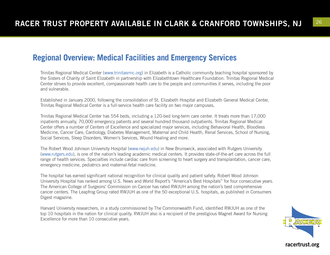#### **Regional Overview: Medical Facilities and Emergency Services**

Trinitas Regional Medical Center (www.trinitasrmc.org) in Elizabeth is a Catholic community teaching hospital sponsored by the Sisters of Charity of Saint Elizabeth in partnership with Elizabethtown Healthcare Foundation. Trinitas Regional Medical Center strives to provide excellent, compassionate health care to the people and communities it serves, including the poor and vulnerable.

Established in January 2000, following the consolidation of St. Elizabeth Hospital and Elizabeth General Medical Center, Trinitas Regional Medical Center is a full-service health care facility on two major campuses,

Trinitas Regional Medical Center has 554 beds, including a 120-bed long-term care center. It treats more than 17,000 inpatients annually, 70,000 emergency patients and several hundred thousand outpatients. Trinitas Regional Medical Center offers a number of Centers of Excellence and specialized major services, including Behavioral Health, Bloodless Medicine, Cancer Care, Cardiology, Diabetes Management, Maternal and Child Health, Renal Services, School of Nursing, Social Services, Sleep Disorders, Women's Services, Wound Healing and more.

The Robert Wood Johnson University Hospital (www.rwjuh.edu) in New Brunswick, associated with Rutgers University (www.rutgers.edu), is one of the nation's leading academic medical centers. It provides state-of-the-art care across the full range of health services. Specialties include cardiac care from screening to heart surgery and transplantation, cancer care, emergency medicine, pediatrics and maternal-fetal medicine.

The hospital has earned significant national recognition for clinical quality and patient safety. Robert Wood Johnson University Hospital has ranked among U.S. News and World Report's "America's Best Hospitals" for four consecutive years. The American College of Surgeons' Commission on Cancer has rated RWJUH among the nation's best comprehensive cancer centers. The Leapfrog Group rated RWJUH as one of the 50 exceptional U.S. hospitals, as published in Consumers Digest magazine.

Harvard University researchers, in a study commissioned by The Commonwealth Fund, identified RWJUH as one of the top 10 hospitals in the nation for clinical quality. RWJUH also is a recipient of the prestigious Magnet Award for Nursing Excellence for more than 10 consecutive years.

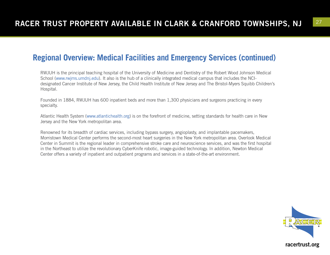### **Regional Overview: Medical Facilities and Emergency Services (continued)**

RWJUH is the principal teaching hospital of the University of Medicine and Dentistry of the Robert Wood Johnson Medical School (www.rwjms.umdnj.edu). It also is the hub of a clinically integrated medical campus that includes the NCIdesignated Cancer Institute of New Jersey, the Child Health Institute of New Jersey and The Bristol-Myers Squibb Children's Hospital.

Founded in 1884, RWJUH has 600 inpatient beds and more than 1,300 physicians and surgeons practicing in every specialty.

Atlantic Health System (www.atlantichealth.org) is on the forefront of medicine, setting standards for health care in New Jersey and the New York metropolitan area.

Renowned for its breadth of cardiac services, including bypass surgery, angioplasty, and implantable pacemakers, Morristown Medical Center performs the second-most heart surgeries in the New York metropolitan area. Overlook Medical Center in Summit is the regional leader in comprehensive stroke care and neuroscience services, and was the first hospital in the Northeast to utilize the revolutionary CyberKnife robotic, image-guided technology. In addition, Newton Medical Center offers a variety of inpatient and outpatient programs and services in a state-of-the-art environment.

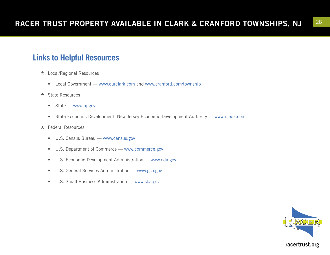## **Links to Helpful Resources**

- \* Local/Regional Resources
	- Local Government www.ourclark.com and www.cranford.com/township
- \* State Resources
	- State www.nj.gov
	- State Economic Development: New Jersey Economic Development Authority www.njeda.com
- \* Federal Resources
	- U.S. Census Bureau www.census.gov
	- U.S. Department of Commerce www.commerce.gov
	- U.S. Economic Development Administration www.eda.gov
	- U.S. General Services Administration www.gsa.gov
	- U.S. Small Business Administration www.sba.gov

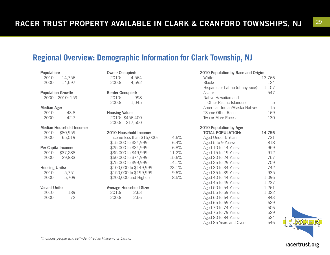$4.6%$  $6.4%$  $6.8%$ 11.2% 15.6% 14.1% 23.1% 9.6% 8.5%

### **Regional Overview: Demographic Information for Clark Township, NJ**

| opaiation:<br>2010: 14,756 |                                 |  |  |  |  |
|----------------------------|---------------------------------|--|--|--|--|
|                            | 2000: 14,597                    |  |  |  |  |
| <b>Population Growth:</b>  |                                 |  |  |  |  |
|                            | 2000 - 2010: 159                |  |  |  |  |
| <b>Median Age:</b>         |                                 |  |  |  |  |
|                            | 2010: 43.8                      |  |  |  |  |
| 2000:                      | 42.7                            |  |  |  |  |
|                            | <b>Median Household Income:</b> |  |  |  |  |
|                            | 2010: \$80,959                  |  |  |  |  |
|                            | 2000: 65,019                    |  |  |  |  |
| Per Capita Income:         |                                 |  |  |  |  |
|                            | 2010: \$37,288                  |  |  |  |  |
|                            | 2000: 29,883                    |  |  |  |  |
|                            | <b>Housing Units:</b>           |  |  |  |  |
|                            | 2010: 5,751                     |  |  |  |  |
|                            | 2000: 5,709                     |  |  |  |  |
| <b>Vacant Units:</b>       |                                 |  |  |  |  |
| 2010:                      | 189                             |  |  |  |  |
| 2000:                      | - 72                            |  |  |  |  |

Population:

|                                                                                                                                                                                                                                                                  | 2010: 4,564<br>2000: 4,592                             |  |  |
|------------------------------------------------------------------------------------------------------------------------------------------------------------------------------------------------------------------------------------------------------------------|--------------------------------------------------------|--|--|
| <b>Renter Occupied:</b><br>2010:<br>2000:                                                                                                                                                                                                                        | 998<br>1,045                                           |  |  |
| <b>Housing Value:</b>                                                                                                                                                                                                                                            | 2010: \$456,400<br>2000: 217,500                       |  |  |
| 2010 Household Income:<br>Income less than \$15,000:<br>\$15,000 to \$24,999:<br>\$25,000 to \$34,999:<br>\$35,000 to \$49,999:<br>\$50,000 to \$74,999:<br>\$75,000 to \$99,999:<br>\$100,000 to \$149,999:<br>\$150,000 to \$199,999:<br>\$200,000 and Higher: |                                                        |  |  |
| 2000:                                                                                                                                                                                                                                                            | <b>Average Household Size:</b><br>2010: 2.63<br>- 2.56 |  |  |

Owner Occupied:

| 2010 Population by Race and Origin: |  |  |  |
|-------------------------------------|--|--|--|
| 13,766                              |  |  |  |
| 124                                 |  |  |  |
| 1,107                               |  |  |  |
| 547                                 |  |  |  |
|                                     |  |  |  |
| 5                                   |  |  |  |
| 15                                  |  |  |  |
| 169                                 |  |  |  |
| 130                                 |  |  |  |
|                                     |  |  |  |
|                                     |  |  |  |

| 2010 Population by Age:  |        |
|--------------------------|--------|
| <b>TOTAL POPULATION:</b> | 14,756 |
| Aged Under 5 Years:      | 731    |
| Aged 5 to 9 Years:       | 818    |
| Aged 10 to 14 Years:     | 959    |
| Aged 15 to 19 Years:     | 912    |
| Aged 20 to 24 Years:     | 757    |
| Aged 25 to 29 Years:     | 709    |
| Aged 30 to 34 Years:     | 742    |
| Aged 35 to 39 Years:     | 935    |
| Aged 40 to 44 Years:     | 1,096  |
| Aged 45 to 49 Years:     | 1,237  |
| Aged 50 to 54 Years:     | 1,261  |
| Aged 55 to 59 Years:     | 1,022  |
| Aged 60 to 64 Years:     | 843    |
| Aged 65 to 69 Years:     | 629    |
| Aged 70 to 74 Years:     | 506    |
| Aged 75 to 79 Years:     | 529    |
| Aged 80 to 84 Years:     | 524    |
| Aged 85 Years and Over:  | 546    |
|                          |        |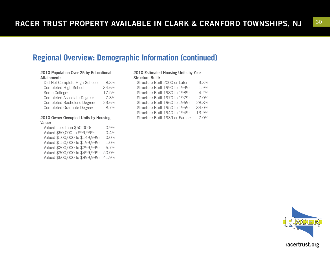#### **Regional Overview: Demographic Information (continued)**

#### 2010 Population Over 25 by Educational Attainment:

| Did Not Complete High School:     | 8.3%  |
|-----------------------------------|-------|
| Completed High School:            | 34.6% |
| Some College:                     | 17.5% |
| Completed Associate Degree:       | 7.3%  |
| Completed Bachelor's Degree:      | 23.6% |
| <b>Completed Graduate Degree:</b> | 8.7%  |

#### 2010 Owner Occupied Units by Housing Value:

Valued Less than \$50,000: 0.9% Valued \$50,000 to \$99,999: 0.4% Valued \$100,000 to \$149,999: 0.0% Valued \$150,000 to \$199,999: 1.0% Valued \$200,000 to \$299,999: 5.7% Valued \$300,000 to \$499,999: 50.0% Valued \$500,000 to \$999,999: 41.9%

#### 2010 Estimated Housing Units by Year Structure Built:

| Structure Built 2000 or Later:   |  |  | 3.3%  |
|----------------------------------|--|--|-------|
| Structure Built 1990 to 1999:    |  |  | 1.9%  |
| Structure Built 1980 to 1989:    |  |  | 4.2%  |
| Structure Built 1970 to 1979:    |  |  | 7.0%  |
| Structure Built 1960 to 1969:    |  |  | 28.8% |
| Structure Built 1950 to 1959:    |  |  | 34.0% |
| Structure Built 1940 to 1949:    |  |  | 13.9% |
| Structure Built 1939 or Earlier: |  |  | 7.0%  |
|                                  |  |  |       |

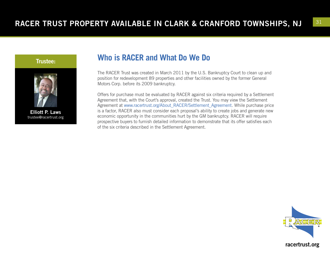



Elliott P. Laws trustee@racertrust.org

#### **Who is RACER and What Do We Do**

The RACER Trust was created in March 2011 by the U.S. Bankruptcy Court to clean up and position for redevelopment 89 properties and other facilities owned by the former General Motors Corp. before its 2009 bankruptcy.

Offers for purchase must be evaluated by RACER against six criteria required by a Settlement Agreement that, with the Court's approval, created the Trust. You may view the Settlement Agreement at www.racertrust.org/About\_RACER/Settlement\_Agreement. While purchase price is a factor, RACER also must consider each proposal's ability to create jobs and generate new economic opportunity in the communities hurt by the GM bankruptcy. RACER will require prospective buyers to furnish detailed information to demonstrate that its offer satisfies each of the six criteria described in the Settlement Agreement.

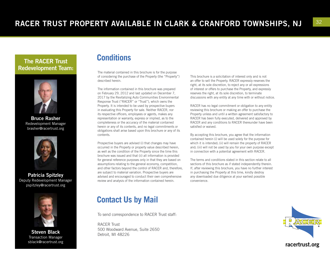#### The RACER Trust Redevelopment Team:



Bruce Rasher Redevelopment Manager brasher@racertrust.org



Patricia Spitzley Deputy Redevelopment Manager pspitzley@racertrust.org



Steven Black Transaction Manager sblack@racertrust.org

#### **Conditions**

The material contained in this brochure is for the purpose of considering the purchase of the Property (the "Property") described herein.

The information contained in this brochure was prepared on February 29, 2012 and last updated on December 7, 2017 by the Revitalizing Auto Communities Environmental Response Trust ("RACER" or "Trust"), which owns the Property. It is intended to be used by prospective buyers in evaluating this Property for sale. Neither RACER, nor its respective officers, employees or agents, makes any representation or warranty, express or implied, as to the completeness or the accuracy of the material contained herein or any of its contents, and no legal commitments or obligations shall arise based upon this brochure or any of its contents.

Prospective buyers are advised (i) that changes may have occurred in the Property or property value described herein, as well as the condition of the Property since the time this brochure was issued and that (ii) all information is provided for general reference purposes only in that they are based on assumptions relating to the general economy, competition, and other factors beyond the control of RACER and, therefore, are subject to material variation. Prospective buyers are advised and encouraged to conduct their own comprehensive review and analysis of the information contained herein.

#### **Contact Us by Mail**

To send correspondence to RACER Trust staff:

RACER Trust 500 Woodward Avenue, Suite 2650 Detroit, MI 48226

This brochure is a solicitation of interest only and is not an offer to sell the Property. RACER expressly reserves the right, at its sole discretion, to reject any or all expressions of interest or offers to purchase the Property, and expressly reserves the right, at its sole discretion, to terminate discussions with any entity at any time with or without notice.

RACER has no legal commitment or obligation to any entity reviewing this brochure or making an offer to purchase the Property unless and until a written agreement satisfactory to RACER has been fully executed, delivered and approved by RACER and any conditions to RACER thereunder have been satisfied or waived.

By accepting this brochure, you agree that the information contained herein (i) will be used solely for the purpose for which it is intended; (ii) will remain the property of RACER and; (iii) will not be used by you for your own purpose except in connection with a potential agreement with RACER.

The terms and conditions stated in this section relate to all sections of this brochure as if stated independently therein. If, after reviewing this brochure, you have no further interest in purchasing the Property at this time, kindly destroy any downloaded due diligence at your earliest possible convenience.

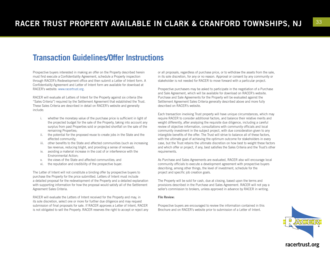#### **Transaction Guidelines/Offer Instructions**

Prospective buyers interested in making an offer on the Property described herein must first execute a Confidentiality Agreement, schedule a Property inspection through RACER's Redevelopment office and then submit a Letter of Intent form. A Confidentiality Agreement and Letter of Intent form are available for download at RACER's website: www.racertrust.org.

RACER will evaluate all Letters of Intent for the Property against six criteria (the "Sales Criteria") required by the Settlement Agreement that established the Trust. These Sales Criteria are described in detail on RACER's website and generally include:

- i. whether the monetary value of the purchase price is sufficient in light of the projected budget for the sale of the Property, taking into account any surplus from past Properties sold or projected shortfall on the sale of the remaining Properties;
- ii. the potential for the proposed reuse to create jobs in the State and the affected community;
- iii. other benefits to the State and affected communities (such as increasing tax revenue, reducing blight, and providing a sense of renewal);
- iv. avoiding a material increase in the cost of or interference with the Environmental Action;
- v. the views of the State and affected communities; and
- vi. the reputation and credibility of the prospective buyer.

The Letter of Intent will not constitute a binding offer by prospective buyers to purchase the Property for the price submitted. Letters of Intent must include a detailed proposal for the redevelopment of the Property and a detailed explanation with supporting information for how the proposal would satisfy all of the Settlement Agreement Sales Criteria.

RACER will evaluate the Letters of Intent received for the Property and may, in its sole discretion, select one or more for further due diligence and may request submission of final proposals for sale. If RACER approves a Letter of Intent, RACER is not obligated to sell the Property. RACER reserves the right to accept or reject any or all proposals, regardless of purchase price, or to withdraw the assets from the sale, in its sole discretion, for any or no reason. Approval or consent by any community or stakeholder is not needed for RACER to move forward with a particular project.

Prospective purchasers may be asked to participate in the negotiation of a Purchase and Sale Agreement, which will be available for download on RACER's website. Purchase and Sale Agreements for the Property will be evaluated against the Settlement Agreement Sales Criteria generally described above and more fully described on RACER's website.

Each transaction involving Trust property will have unique circumstances, which may require RACER to consider additional factors, and balance their relative merits and weight differently, after analyzing the requisite due diligence, including a careful review of objective information, consultations with community officials and local community investment in the subject project, with due consideration given to any intangible benefits of the offer. The Trust will strive to balance all of these factors, with the ultimate goal of achieving the optimum outcome for stakeholders in every case, but the Trust retains the ultimate discretion on how best to weight these factors and which offer or project, if any, best satisfies the Sales Criteria and the Trust's other requirements.

As Purchase and Sales Agreements are evaluated, RACER also will encourage local community officials to execute a development agreement with prospective buyers describing, among other things, the level of investment, schedule for the project and specific job creation goals.

The Property will be sold for cash, due at closing, based upon the terms and provisions described in the Purchase and Sales Agreement. RACER will not pay a seller's commission to brokers, unless approved in advance by RACER in writing.

#### File Review:

Prospective buyers are encouraged to review the information contained in this Brochure and on RACER's website prior to submission of a Letter of Intent.